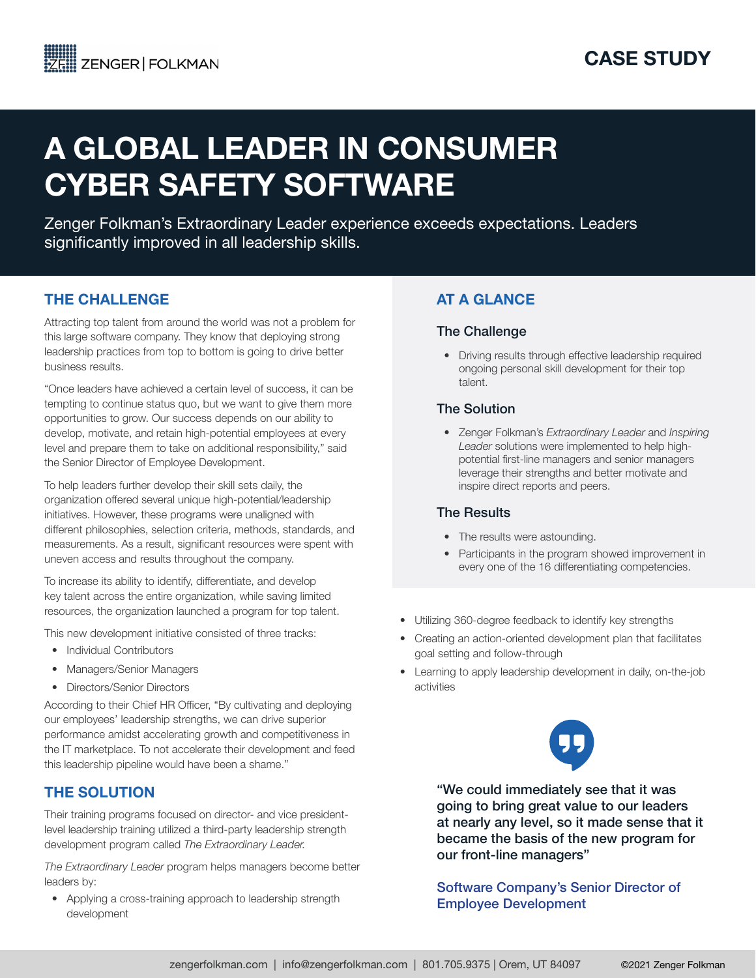# A GLOBAL LEADER IN CONSUMER CYBER SAFETY SOFTWARE

Zenger Folkman's Extraordinary Leader experience exceeds expectations. Leaders significantly improved in all leadership skills.

## THE CHALLENGE

Attracting top talent from around the world was not a problem for this large software company. They know that deploying strong leadership practices from top to bottom is going to drive better business results.

"Once leaders have achieved a certain level of success, it can be tempting to continue status quo, but we want to give them more opportunities to grow. Our success depends on our ability to develop, motivate, and retain high-potential employees at every level and prepare them to take on additional responsibility," said the Senior Director of Employee Development.

To help leaders further develop their skill sets daily, the organization offered several unique high-potential/leadership initiatives. However, these programs were unaligned with different philosophies, selection criteria, methods, standards, and measurements. As a result, significant resources were spent with uneven access and results throughout the company.

To increase its ability to identify, differentiate, and develop key talent across the entire organization, while saving limited resources, the organization launched a program for top talent.

This new development initiative consisted of three tracks:

- Individual Contributors
- Managers/Senior Managers
- Directors/Senior Directors

According to their Chief HR Officer, "By cultivating and deploying our employees' leadership strengths, we can drive superior performance amidst accelerating growth and competitiveness in the IT marketplace. To not accelerate their development and feed this leadership pipeline would have been a shame."

# THE SOLUTION

Their training programs focused on director- and vice presidentlevel leadership training utilized a third-party leadership strength development program called *The Extraordinary Leader.*

*The Extraordinary Leader* program helps managers become better leaders by:

• Applying a cross-training approach to leadership strength development

# AT A GLANCE

### The Challenge

• Driving results through effective leadership required ongoing personal skill development for their top talent.

## The Solution

• Zenger Folkman's *Extraordinary Leader* and *Inspiring Leader* solutions were implemented to help highpotential first-line managers and senior managers leverage their strengths and better motivate and inspire direct reports and peers.

### The Results

- The results were astounding.
- Participants in the program showed improvement in every one of the 16 differentiating competencies.
- Utilizing 360-degree feedback to identify key strengths
- Creating an action-oriented development plan that facilitates goal setting and follow-through
- Learning to apply leadership development in daily, on-the-job activities



"We could immediately see that it was going to bring great value to our leaders at nearly any level, so it made sense that it became the basis of the new program for our front-line managers"

Software Company's Senior Director of Employee Development